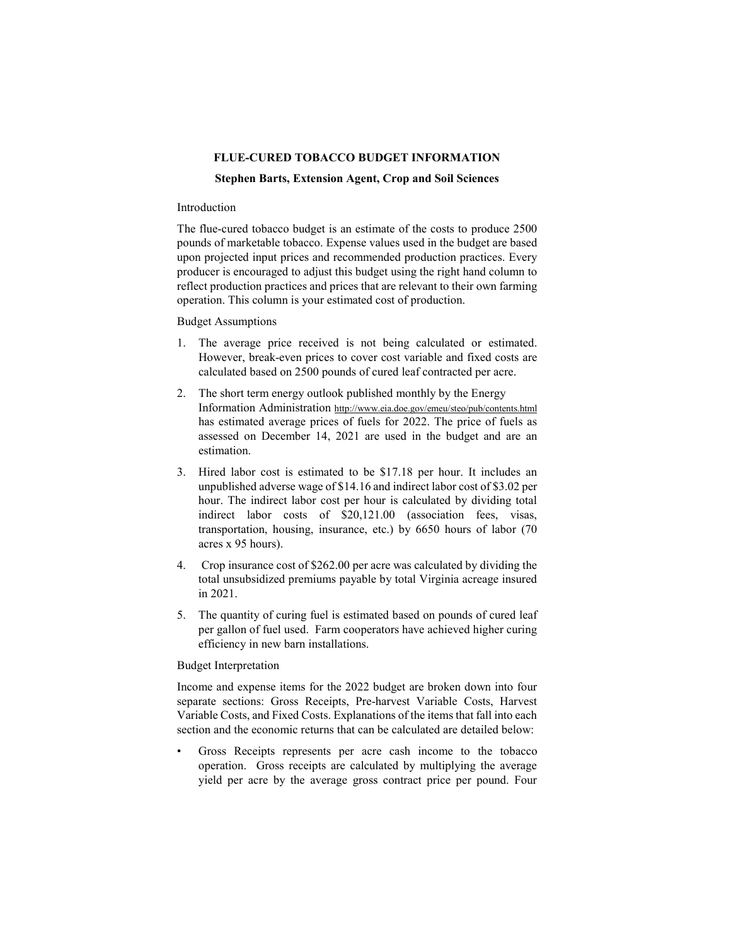# **FLUE-CURED TOBACCO BUDGET INFORMATION**

#### **Stephen Barts, Extension Agent, Crop and Soil Sciences**

## Introduction

The flue-cured tobacco budget is an estimate of the costs to produce 2500 pounds of marketable tobacco. Expense values used in the budget are based upon projected input prices and recommended production practices. Every producer is encouraged to adjust this budget using the right hand column to reflect production practices and prices that are relevant to their own farming operation. This column is your estimated cost of production.

# Budget Assumptions

- 1. The average price received is not being calculated or estimated. However, break-even prices to cover cost variable and fixed costs are calculated based on 2500 pounds of cured leaf contracted per acre.
- 2. The short term energy outlook published monthly by the Energy Information Administration http://www.eia.doe.gov/emeu/steo/pub/contents.html has estimated average prices of fuels for 2022. The price of fuels as assessed on December 14, 2021 are used in the budget and are an estimation.
- 3. Hired labor cost is estimated to be \$17.18 per hour. It includes an unpublished adverse wage of \$14.16 and indirect labor cost of \$3.02 per hour. The indirect labor cost per hour is calculated by dividing total indirect labor costs of \$20,121.00 (association fees, visas, transportation, housing, insurance, etc.) by 6650 hours of labor (70 acres x 95 hours).
- 4. Crop insurance cost of \$262.00 per acre was calculated by dividing the total unsubsidized premiums payable by total Virginia acreage insured in 2021.
- 5. The quantity of curing fuel is estimated based on pounds of cured leaf per gallon of fuel used. Farm cooperators have achieved higher curing efficiency in new barn installations.

## Budget Interpretation

Income and expense items for the 2022 budget are broken down into four separate sections: Gross Receipts, Pre-harvest Variable Costs, Harvest Variable Costs, and Fixed Costs. Explanations of the items that fall into each section and the economic returns that can be calculated are detailed below:

Gross Receipts represents per acre cash income to the tobacco operation. Gross receipts are calculated by multiplying the average yield per acre by the average gross contract price per pound. Four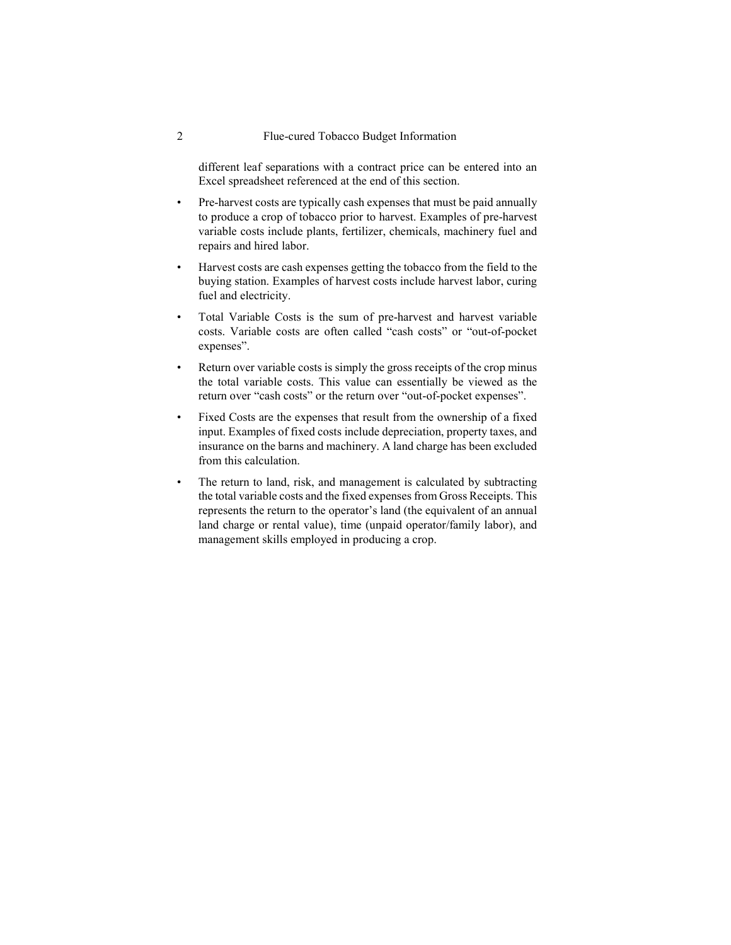### 2 Flue-cured Tobacco Budget Information

different leaf separations with a contract price can be entered into an Excel spreadsheet referenced at the end of this section.

- Pre-harvest costs are typically cash expenses that must be paid annually to produce a crop of tobacco prior to harvest. Examples of pre-harvest variable costs include plants, fertilizer, chemicals, machinery fuel and repairs and hired labor.
- Harvest costs are cash expenses getting the tobacco from the field to the buying station. Examples of harvest costs include harvest labor, curing fuel and electricity.
- Total Variable Costs is the sum of pre-harvest and harvest variable costs. Variable costs are often called "cash costs" or "out-of-pocket expenses".
- Return over variable costs is simply the gross receipts of the crop minus the total variable costs. This value can essentially be viewed as the return over "cash costs" or the return over "out-of-pocket expenses".
- Fixed Costs are the expenses that result from the ownership of a fixed input. Examples of fixed costs include depreciation, property taxes, and insurance on the barns and machinery. A land charge has been excluded from this calculation.
- The return to land, risk, and management is calculated by subtracting the total variable costs and the fixed expenses from Gross Receipts. This represents the return to the operator's land (the equivalent of an annual land charge or rental value), time (unpaid operator/family labor), and management skills employed in producing a crop.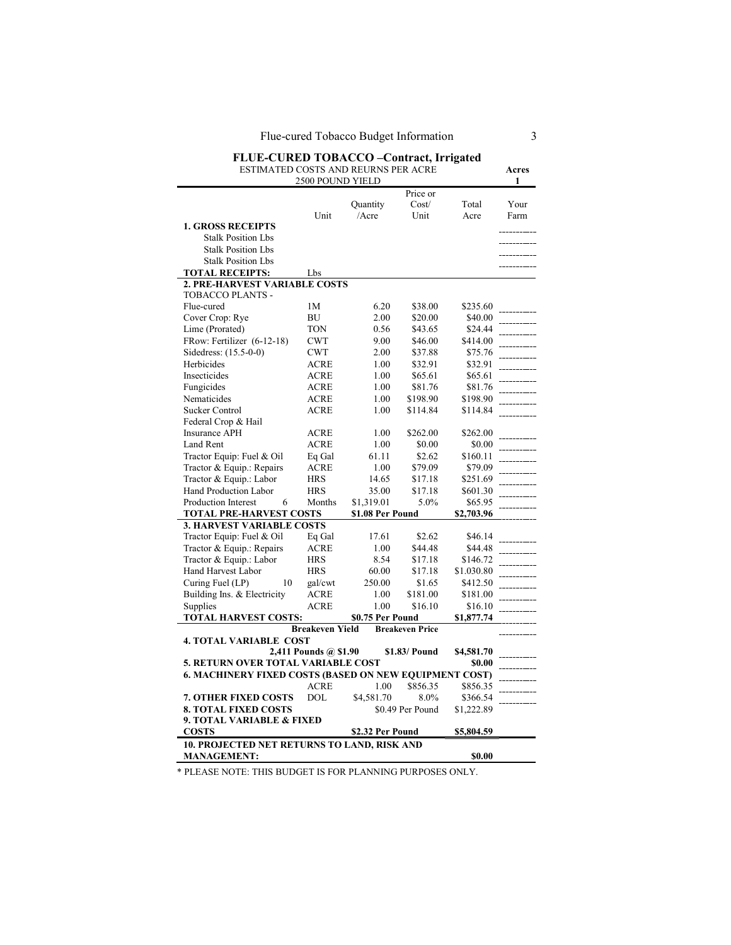# **FLUE-CURED TOBACCO –Contract, Irrigated**

ESTIMATED COSTS AND REURNS PER ACRE **Acres**

| 2500 POUND YIELD                                       |                        |                  |                        |            |      |  |  |
|--------------------------------------------------------|------------------------|------------------|------------------------|------------|------|--|--|
|                                                        |                        |                  | Price or               |            |      |  |  |
|                                                        |                        | Quantity         | Cost/                  | Total      | Your |  |  |
|                                                        | Unit                   | /Acre            | Unit                   | Acre       | Farm |  |  |
| <b>1. GROSS RECEIPTS</b>                               |                        |                  |                        |            |      |  |  |
| <b>Stalk Position Lbs</b>                              |                        |                  |                        |            |      |  |  |
| <b>Stalk Position Lbs</b>                              |                        |                  |                        |            |      |  |  |
| <b>Stalk Position Lbs</b>                              |                        |                  |                        |            |      |  |  |
| <b>TOTAL RECEIPTS:</b>                                 | Lbs                    |                  |                        |            |      |  |  |
| <b>2. PRE-HARVEST VARIABLE COSTS</b>                   |                        |                  |                        |            |      |  |  |
| TOBACCO PLANTS -                                       |                        |                  |                        |            |      |  |  |
| Flue-cured                                             | 1M                     | 6.20             | \$38.00                | \$235.60   |      |  |  |
| Cover Crop: Rye                                        | BU                     | 2.00             | \$20.00                | \$40.00    |      |  |  |
| Lime (Prorated)                                        | TON                    | 0.56             | \$43.65                | \$24.44    |      |  |  |
| FRow: Fertilizer (6-12-18)                             | <b>CWT</b>             | 9.00             | \$46.00                | \$414.00   |      |  |  |
| Sidedress: (15.5-0-0)                                  | <b>CWT</b>             | 2.00             | \$37.88                | \$75.76    |      |  |  |
| Herbicides                                             | <b>ACRE</b>            | 1.00             | \$32.91                | \$32.91    |      |  |  |
| Insecticides                                           | ACRE                   | 1.00             | \$65.61                | \$65.61    |      |  |  |
| Fungicides                                             | <b>ACRE</b>            | 1.00             | \$81.76                | \$81.76    |      |  |  |
| Nematicides                                            | <b>ACRE</b>            | 1.00             | \$198.90               | \$198.90   |      |  |  |
| Sucker Control                                         | ACRE                   | 1.00             | \$114.84               | \$114.84   |      |  |  |
| Federal Crop & Hail                                    |                        |                  |                        |            |      |  |  |
| <b>Insurance APH</b>                                   | ACRE                   | 1.00             | \$262.00               | \$262.00   |      |  |  |
| Land Rent                                              | <b>ACRE</b>            | 1.00             | \$0.00                 | \$0.00     |      |  |  |
| Tractor Equip: Fuel & Oil                              | Eq Gal                 | 61.11            | \$2.62                 | \$160.11   |      |  |  |
| Tractor & Equip.: Repairs                              | <b>ACRE</b>            | 1.00             | \$79.09                | \$79.09    |      |  |  |
| Tractor & Equip.: Labor                                | HRS                    | 14.65            | \$17.18                | \$251.69   |      |  |  |
| Hand Production Labor                                  | <b>HRS</b>             | 35.00            | \$17.18                | \$601.30   |      |  |  |
| Production Interest<br>6                               | Months                 | \$1,319.01       | 5.0%                   | \$65.95    |      |  |  |
| <b>TOTAL PRE-HARVEST COSTS</b>                         |                        | \$1.08 Per Pound |                        | \$2,703.96 |      |  |  |
| <b>3. HARVEST VARIABLE COSTS</b>                       |                        |                  |                        |            |      |  |  |
| Tractor Equip: Fuel & Oil                              | Eq Gal                 | 17.61            | \$2.62                 | \$46.14    |      |  |  |
| Tractor & Equip.: Repairs                              | ACRE                   | 1.00             | \$44.48                | \$44.48    |      |  |  |
| Tractor & Equip.: Labor                                | HRS                    | 8.54             | \$17.18                | \$146.72   |      |  |  |
| Hand Harvest Labor                                     | <b>HRS</b>             | 60.00            | \$17.18                | \$1.030.80 |      |  |  |
| Curing Fuel (LP)<br>10                                 | gal/cwt                | 250.00           | \$1.65                 | \$412.50   |      |  |  |
| Building Ins. & Electricity                            | ACRE                   | 1.00             | \$181.00               | \$181.00   |      |  |  |
| Supplies                                               | <b>ACRE</b>            | 1.00             | \$16.10                | \$16.10    |      |  |  |
| TOTAL HARVEST COSTS:                                   |                        | \$0.75 Per Pound |                        | \$1,877.74 |      |  |  |
|                                                        | <b>Breakeven Yield</b> |                  | <b>Breakeven Price</b> |            |      |  |  |
| <b>4. TOTAL VARIABLE COST</b>                          |                        |                  |                        |            |      |  |  |
|                                                        | 2,411 Pounds @ \$1.90  |                  | \$1.83/ Pound          | \$4,581.70 |      |  |  |
| <b>5. RETURN OVER TOTAL VARIABLE COST</b>              |                        |                  |                        | \$0.00     |      |  |  |
| 6. MACHINERY FIXED COSTS (BASED ON NEW EQUIPMENT COST) |                        |                  |                        |            |      |  |  |
|                                                        | <b>ACRE</b>            | 1.00             | \$856.35               | \$856.35   |      |  |  |
| <b>7. OTHER FIXED COSTS</b>                            | DOL                    | \$4,581.70       | 8.0%                   | \$366.54   |      |  |  |
| <b>8. TOTAL FIXED COSTS</b>                            |                        |                  | \$0.49 Per Pound       | \$1,222.89 |      |  |  |
| 9. TOTAL VARIABLE & FIXED                              |                        |                  |                        |            |      |  |  |
| <b>COSTS</b>                                           |                        | \$2.32 Per Pound |                        | \$5,804.59 |      |  |  |
| 10. PROJECTED NET RETURNS TO LAND, RISK AND            |                        |                  |                        |            |      |  |  |
| <b>MANAGEMENT:</b>                                     |                        |                  |                        | \$0.00     |      |  |  |

\* PLEASE NOTE: THIS BUDGET IS FOR PLANNING PURPOSES ONLY.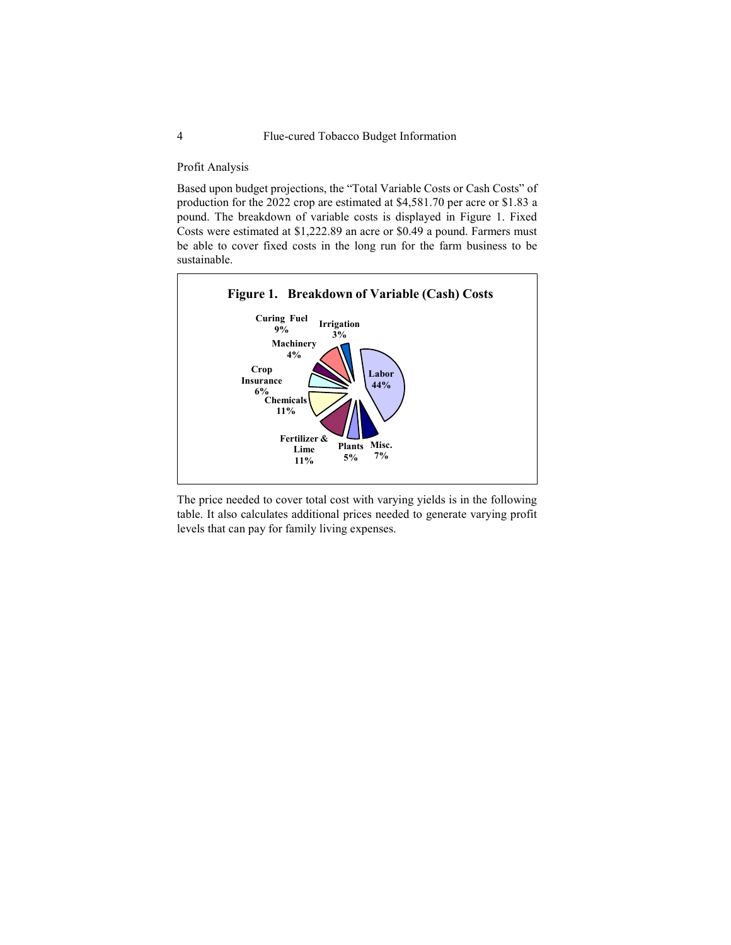#### Profit Analysis

Based upon budget projections, the "Total Variable Costs or Cash Costs" of production for the 2022 crop are estimated at \$4,581.70 per acre or \$1.83 a pound. The breakdown of variable costs is displayed in Figure 1. Fixed Costs were estimated at \$1,222.89 an acre or \$0.49 a pound. Farmers must be able to cover fixed costs in the long run for the farm business to be sustainable.



The price needed to cover total cost with varying yields is in the following table. It also calculates additional prices needed to generate varying profit levels that can pay for family living expenses.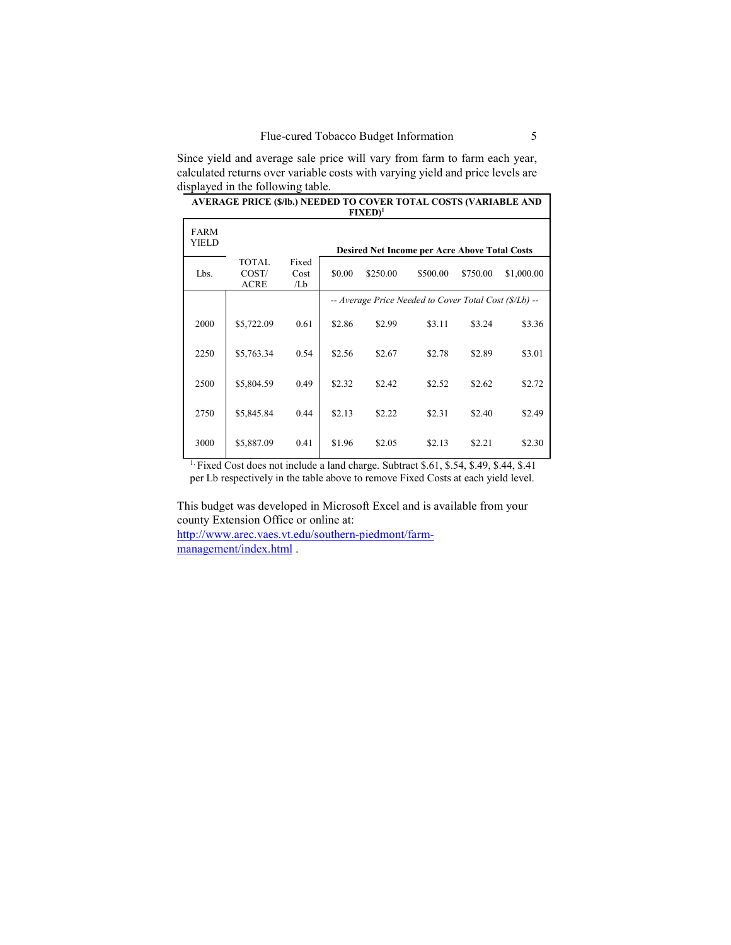Since yield and average sale price will vary from farm to farm each year, calculated returns over variable costs with varying yield and price levels are displayed in the following table.

| AVERAGE PRICE (\$/lb.) NEEDED TO COVER TOTAL COSTS (VARIABLE AND<br>$FIXED1$ |                                |                      |                                                        |          |                                                      |          |            |  |  |  |
|------------------------------------------------------------------------------|--------------------------------|----------------------|--------------------------------------------------------|----------|------------------------------------------------------|----------|------------|--|--|--|
| <b>FARM</b><br>YIELD                                                         |                                |                      |                                                        |          | <b>Desired Net Income per Acre Above Total Costs</b> |          |            |  |  |  |
| Lbs.                                                                         | TOTAL.<br>COST/<br><b>ACRE</b> | Fixed<br>Cost<br>/Lb | \$0.00                                                 | \$250.00 | \$500.00                                             | \$750.00 | \$1,000.00 |  |  |  |
|                                                                              |                                |                      | -- Average Price Needed to Cover Total Cost (\$/Lb) -- |          |                                                      |          |            |  |  |  |
| 2000                                                                         | \$5,722.09                     | 0.61                 | \$2.86                                                 | \$2.99   | \$3.11                                               | \$3.24   | \$3.36     |  |  |  |
| 2250                                                                         | \$5,763.34                     | 0.54                 | \$2.56                                                 | \$2.67   | \$2.78                                               | \$2.89   | \$3.01     |  |  |  |
| 2500                                                                         | \$5,804.59                     | 0.49                 | \$2.32                                                 | \$2.42   | \$2.52                                               | \$2.62   | \$2.72     |  |  |  |
| 2750                                                                         | \$5,845.84                     | 0.44                 | \$2.13                                                 | \$2.22   | \$2.31                                               | \$2.40   | \$2.49     |  |  |  |
| 3000                                                                         | \$5,887.09                     | 0.41                 | \$1.96                                                 | \$2.05   | \$2.13                                               | \$2.21   | \$2.30     |  |  |  |

<sup>1.</sup> Fixed Cost does not include a land charge. Subtract \$.61, \$.54, \$.49, \$.44, \$.41 per Lb respectively in the table above to remove Fixed Costs at each yield level.

This budget was developed in Microsoft Excel and is available from your county Extension Office or online at:

[http://www.arec.vaes.vt.edu/southern-piedmont/farm](http://www.arec.vaes.vt.edu/southern-piedmont/farm-management/index.html)[management/index.html](http://www.arec.vaes.vt.edu/southern-piedmont/farm-management/index.html) .